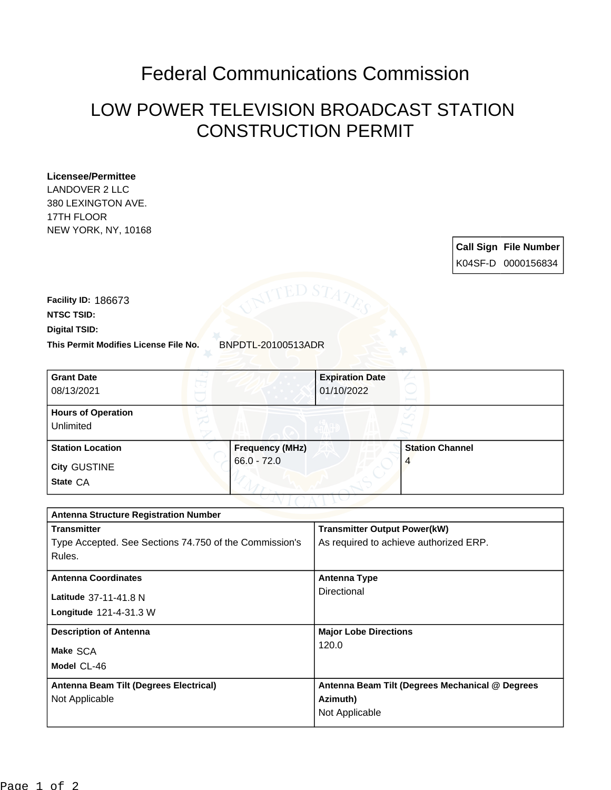## Federal Communications Commission

## LOW POWER TELEVISION BROADCAST STATION CONSTRUCTION PERMIT

## **Licensee/Permittee**

LANDOVER 2 LLC 380 LEXINGTON AVE. 17TH FLOOR NEW YORK, NY, 10168

> **Call Sign File Number** K04SF-D 0000156834

**This Permit Modifies License File No.** BNPDTL-20100513ADR **Digital TSID: NTSC TSID: Facility ID:** 186673

| <b>Grant Date</b><br>08/13/2021        |                        | <b>Expiration Date</b><br>01/10/2022 |                        |  |
|----------------------------------------|------------------------|--------------------------------------|------------------------|--|
| <b>Hours of Operation</b><br>Unlimited |                        |                                      |                        |  |
| <b>Station Location</b>                | <b>Frequency (MHz)</b> |                                      | <b>Station Channel</b> |  |
| <b>City GUSTINE</b><br>State CA        | $66.0 - 72.0$          |                                      | 4                      |  |

| <b>Antenna Structure Registration Number</b>           |                                                 |  |  |  |
|--------------------------------------------------------|-------------------------------------------------|--|--|--|
| <b>Transmitter</b>                                     | <b>Transmitter Output Power(kW)</b>             |  |  |  |
| Type Accepted. See Sections 74.750 of the Commission's | As required to achieve authorized ERP.          |  |  |  |
| Rules.                                                 |                                                 |  |  |  |
| <b>Antenna Coordinates</b>                             | <b>Antenna Type</b>                             |  |  |  |
| Latitude 37-11-41.8 N                                  | Directional                                     |  |  |  |
| Longitude 121-4-31.3 W                                 |                                                 |  |  |  |
| <b>Description of Antenna</b>                          | <b>Major Lobe Directions</b>                    |  |  |  |
| Make SCA                                               | 120.0                                           |  |  |  |
| Model CL-46                                            |                                                 |  |  |  |
| Antenna Beam Tilt (Degrees Electrical)                 | Antenna Beam Tilt (Degrees Mechanical @ Degrees |  |  |  |
| Not Applicable                                         | Azimuth)                                        |  |  |  |
|                                                        | Not Applicable                                  |  |  |  |